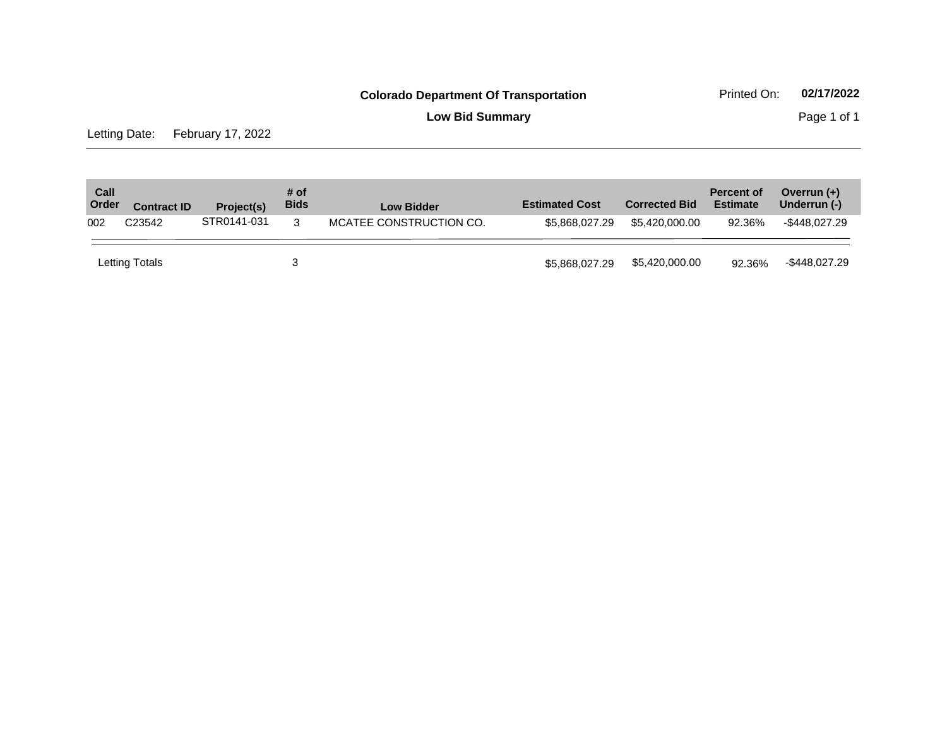**Low Bid Summary Page 1 of 1** 

Letting Date: February 17, 2022

| Call<br>Order | <b>Contract ID</b> | Project(s)  | # of<br><b>Bids</b> | <b>Low Bidder</b>       | <b>Estimated Cost</b> | <b>Corrected Bid</b> | <b>Percent of</b><br><b>Estimate</b> | Overrun $(+)$<br>Underrun (-) |
|---------------|--------------------|-------------|---------------------|-------------------------|-----------------------|----------------------|--------------------------------------|-------------------------------|
| 002           | C <sub>23542</sub> | STR0141-031 | 3                   | MCATEE CONSTRUCTION CO. | \$5,868,027,29        | \$5.420,000,00       | 92.36%                               | -\$448.027.29                 |
|               | Letting Totals     |             |                     |                         | \$5,868,027,29        | \$5,420,000.00       | 92.36%                               | -\$448,027.29                 |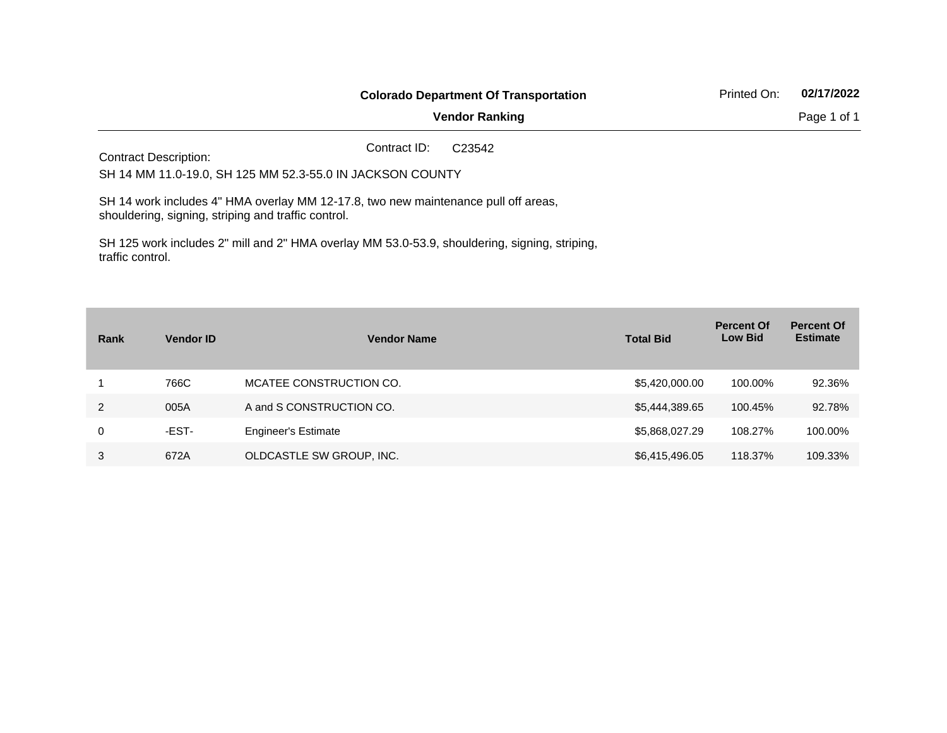|                                                                                                                                                                                                                                        | <b>Colorado Department Of Transportation</b><br><b>Vendor Ranking</b><br>Contract ID:<br>C <sub>23542</sub>                                                                                                                                                                             | 02/17/2022<br>Printed On: |
|----------------------------------------------------------------------------------------------------------------------------------------------------------------------------------------------------------------------------------------|-----------------------------------------------------------------------------------------------------------------------------------------------------------------------------------------------------------------------------------------------------------------------------------------|---------------------------|
|                                                                                                                                                                                                                                        |                                                                                                                                                                                                                                                                                         | Page 1 of 1               |
|                                                                                                                                                                                                                                        |                                                                                                                                                                                                                                                                                         |                           |
| <b>Contract Description:</b><br>SH 14 MM 11.0-19.0, SH 125 MM 52.3-55.0 IN JACKSON COUNTY<br>SH 14 work includes 4" HMA overlay MM 12-17.8, two new maintenance pull off areas,<br>shouldering, signing, striping and traffic control. |                                                                                                                                                                                                                                                                                         |                           |
|                                                                                                                                                                                                                                        |                                                                                                                                                                                                                                                                                         |                           |
|                                                                                                                                                                                                                                        | $\overline{O}$ if a $\overline{O}$ is the state of the strip in $\overline{O}$ in $\overline{O}$ is a strip in $\overline{O}$ in the state of the state of $\overline{O}$ is the state of $\overline{O}$ in $\overline{O}$ is a state of $\overline{O}$ in $\overline{O}$ is a state of |                           |

SH 125 work includes 2" mill and 2" HMA overlay MM 53.0-53.9, shouldering, signing, striping, traffic control.

| Rank | <b>Vendor ID</b> | <b>Vendor Name</b>         | <b>Total Bid</b> | <b>Percent Of</b><br><b>Low Bid</b> | <b>Percent Of</b><br><b>Estimate</b> |
|------|------------------|----------------------------|------------------|-------------------------------------|--------------------------------------|
|      | 766C             | MCATEE CONSTRUCTION CO.    | \$5,420,000.00   | 100.00%                             | 92.36%                               |
| 2    | 005A             | A and S CONSTRUCTION CO.   | \$5,444,389.65   | 100.45%                             | 92.78%                               |
| 0    | -EST-            | <b>Engineer's Estimate</b> | \$5,868,027.29   | 108.27%                             | 100.00%                              |
| 3    | 672A             | OLDCASTLE SW GROUP, INC.   | \$6,415,496.05   | 118.37%                             | 109.33%                              |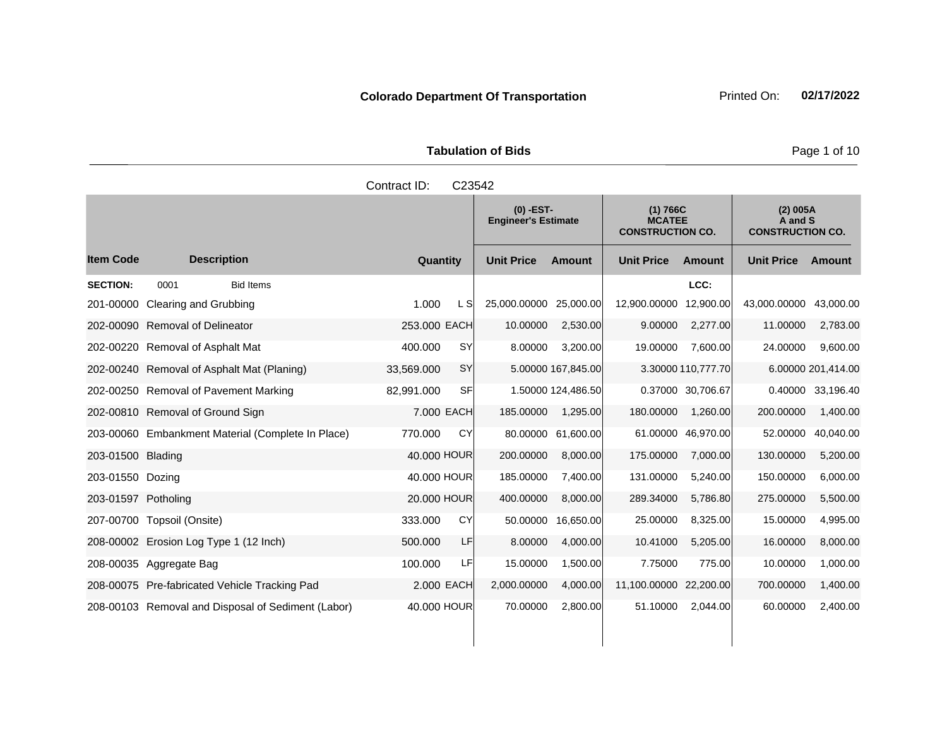|                     |                                                    | Contract ID: | C23542     |                                           |                    |                                                      |                    |                                                |                    |
|---------------------|----------------------------------------------------|--------------|------------|-------------------------------------------|--------------------|------------------------------------------------------|--------------------|------------------------------------------------|--------------------|
|                     |                                                    |              |            | $(0)$ -EST-<br><b>Engineer's Estimate</b> |                    | (1) 766C<br><b>MCATEE</b><br><b>CONSTRUCTION CO.</b> |                    | (2) 005A<br>A and S<br><b>CONSTRUCTION CO.</b> |                    |
| <b>Item Code</b>    | <b>Description</b>                                 | Quantity     |            | <b>Unit Price</b>                         | <b>Amount</b>      | <b>Unit Price</b>                                    | Amount             | <b>Unit Price</b>                              | Amount             |
| <b>SECTION:</b>     | 0001<br><b>Bid Items</b>                           |              |            |                                           |                    |                                                      | LCC:               |                                                |                    |
| 201-00000           | Clearing and Grubbing                              | 1.000        | L SI       | 25,000.00000                              | 25,000.00          | 12,900.00000                                         | 12,900.00          | 43,000.00000                                   | 43,000.00          |
| 202-00090           | <b>Removal of Delineator</b>                       | 253.000 EACH |            | 10.00000                                  | 2,530.00           | 9.00000                                              | 2,277.00           | 11.00000                                       | 2,783.00           |
| 202-00220           | Removal of Asphalt Mat                             | 400.000      | <b>SY</b>  | 8.00000                                   | 3,200.00           | 19.00000                                             | 7.600.00           | 24.00000                                       | 9,600.00           |
|                     | 202-00240 Removal of Asphalt Mat (Planing)         | 33,569.000   | SY         |                                           | 5.00000 167,845.00 |                                                      | 3.30000 110,777.70 |                                                | 6.00000 201,414.00 |
|                     | 202-00250 Removal of Pavement Marking              | 82,991.000   | SF         |                                           | 1.50000 124,486.50 |                                                      | 0.37000 30.706.67  | 0.40000                                        | 33,196.40          |
|                     | 202-00810 Removal of Ground Sign                   |              | 7.000 EACH | 185.00000                                 | 1,295.00           | 180.00000                                            | 1.260.00           | 200.00000                                      | 1,400.00           |
|                     | 203-00060 Embankment Material (Complete In Place)  | 770.000      | CY         | 80.00000                                  | 61,600.00          |                                                      | 61.00000 46,970.00 | 52.00000                                       | 40,040.00          |
| 203-01500 Blading   |                                                    | 40.000 HOUR  |            | 200.00000                                 | 8,000.00           | 175.00000                                            | 7,000.00           | 130.00000                                      | 5,200.00           |
| 203-01550 Dozing    |                                                    | 40.000 HOUR  |            | 185.00000                                 | 7,400.00           | 131.00000                                            | 5,240.00           | 150.00000                                      | 6,000.00           |
| 203-01597 Potholing |                                                    | 20.000 HOUR  |            | 400.00000                                 | 8,000.00           | 289.34000                                            | 5,786.80           | 275.00000                                      | 5,500.00           |
|                     | 207-00700 Topsoil (Onsite)                         | 333,000      | CY         | 50.00000                                  | 16,650.00          | 25.00000                                             | 8,325.00           | 15.00000                                       | 4,995.00           |
|                     | 208-00002 Erosion Log Type 1 (12 Inch)             | 500,000      | LF         | 8.00000                                   | 4,000.00           | 10.41000                                             | 5,205.00           | 16.00000                                       | 8,000.00           |
|                     | 208-00035 Aggregate Bag                            | 100.000      | LFI        | 15.00000                                  | 1,500.00           | 7.75000                                              | 775.00             | 10.00000                                       | 1,000.00           |
|                     | 208-00075 Pre-fabricated Vehicle Tracking Pad      |              | 2.000 EACH | 2,000.00000                               | 4,000.00           | 11,100.00000 22,200.00                               |                    | 700.00000                                      | 1,400.00           |
|                     | 208-00103 Removal and Disposal of Sediment (Labor) | 40.000 HOUR  |            | 70.00000                                  | 2,800.00           | 51.10000                                             | 2,044.00           | 60.00000                                       | 2,400.00           |

**Page 1 of 10**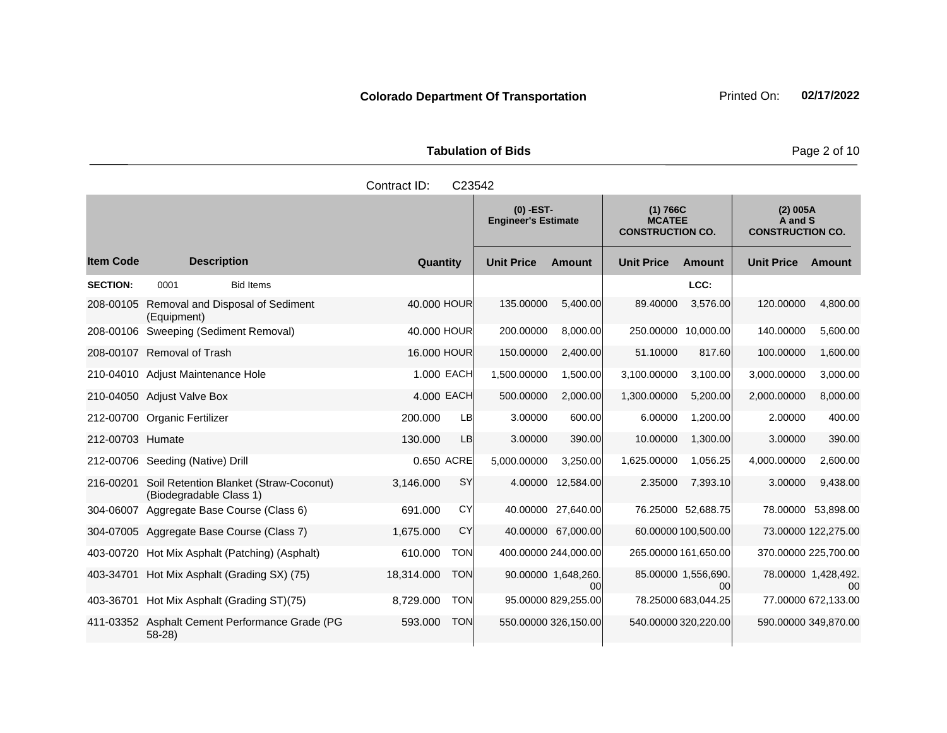**Tabulation of Bids Page 2 of 10** 

|                  |                                                                   | Contract ID:<br>C23542   |                                           |                                        |                                                      |                                      |                                                |                                       |
|------------------|-------------------------------------------------------------------|--------------------------|-------------------------------------------|----------------------------------------|------------------------------------------------------|--------------------------------------|------------------------------------------------|---------------------------------------|
|                  |                                                                   |                          | $(0)$ -EST-<br><b>Engineer's Estimate</b> |                                        | (1) 766C<br><b>MCATEE</b><br><b>CONSTRUCTION CO.</b> |                                      | (2) 005A<br>A and S<br><b>CONSTRUCTION CO.</b> |                                       |
| <b>Item Code</b> | <b>Description</b>                                                | Quantity                 | <b>Unit Price</b>                         | <b>Amount</b>                          | <b>Unit Price</b>                                    | <b>Amount</b>                        | <b>Unit Price</b>                              | <b>Amount</b>                         |
| <b>SECTION:</b>  | 0001<br><b>Bid Items</b>                                          |                          |                                           |                                        |                                                      | LCC:                                 |                                                |                                       |
| 208-00105        | Removal and Disposal of Sediment<br>(Equipment)                   | 40,000 HOUR              | 135.00000                                 | 5,400.00                               | 89.40000                                             | 3,576.00                             | 120.00000                                      | 4,800.00                              |
|                  | 208-00106 Sweeping (Sediment Removal)                             | 40,000 HOUR              | 200.00000                                 | 8.000.00                               | 250,00000                                            | 10.000.00                            | 140.00000                                      | 5,600.00                              |
|                  | 208-00107 Removal of Trash                                        | 16.000 HOUR              | 150.00000                                 | 2,400.00                               | 51.10000                                             | 817.60                               | 100.00000                                      | 1,600.00                              |
|                  | 210-04010 Adjust Maintenance Hole                                 | 1.000 EACH               | 1,500.00000                               | 1,500.00                               | 3,100.00000                                          | 3.100.00                             | 3,000.00000                                    | 3,000.00                              |
|                  | 210-04050 Adjust Valve Box                                        | 4.000 EACH               | 500.00000                                 | 2,000.00                               | 1,300.00000                                          | 5,200.00                             | 2,000.00000                                    | 8,000.00                              |
|                  | 212-00700 Organic Fertilizer                                      | 200.000<br>LB            | 3.00000                                   | 600.00                                 | 6.00000                                              | 1,200.00                             | 2.00000                                        | 400.00                                |
| 212-00703 Humate |                                                                   | 130.000<br><b>LB</b>     | 3.00000                                   | 390.00                                 | 10.00000                                             | 1,300.00                             | 3.00000                                        | 390.00                                |
|                  | 212-00706 Seeding (Native) Drill                                  | 0.650 ACRE               | 5,000.00000                               | 3,250.00                               | 1,625.00000                                          | 1,056.25                             | 4,000.00000                                    | 2,600.00                              |
| 216-00201        | Soil Retention Blanket (Straw-Coconut)<br>(Biodegradable Class 1) | SY<br>3,146.000          | 4.00000                                   | 12,584.00                              | 2.35000                                              | 7,393.10                             | 3.00000                                        | 9,438.00                              |
|                  | 304-06007 Aggregate Base Course (Class 6)                         | CY<br>691.000            |                                           | 40.00000 27,640.00                     |                                                      | 76.25000 52,688.75                   |                                                | 78.00000 53,898.00                    |
| 304-07005        | Aggregate Base Course (Class 7)                                   | CY<br>1,675.000          |                                           | 40.00000 67.000.00                     |                                                      | 60.00000 100,500.00                  |                                                | 73.00000 122,275.00                   |
| 403-00720        | Hot Mix Asphalt (Patching) (Asphalt)                              | 610.000<br><b>TON</b>    |                                           | 400.00000 244,000.00                   |                                                      | 265.00000 161,650.00                 |                                                | 370.00000 225,700.00                  |
|                  | 403-34701 Hot Mix Asphalt (Grading SX) (75)                       | 18,314.000<br><b>TON</b> |                                           | 90.00000 1,648,260.<br>00 <sup>1</sup> |                                                      | 85.00000 1,556,690<br>0 <sub>0</sub> |                                                | 78.00000 1,428,492.<br>0 <sup>0</sup> |
|                  | 403-36701 Hot Mix Asphalt (Grading ST)(75)                        | <b>TON</b><br>8,729.000  |                                           | 95.00000 829,255.00                    |                                                      | 78.25000 683,044.25                  |                                                | 77.00000 672,133.00                   |
|                  | 411-03352 Asphalt Cement Performance Grade (PG<br>$58-28$         | 593.000<br><b>TON</b>    |                                           | 550.00000 326,150.00                   |                                                      | 540.00000 320,220.00                 | 590.00000 349,870.00                           |                                       |
|                  |                                                                   |                          |                                           |                                        |                                                      |                                      |                                                |                                       |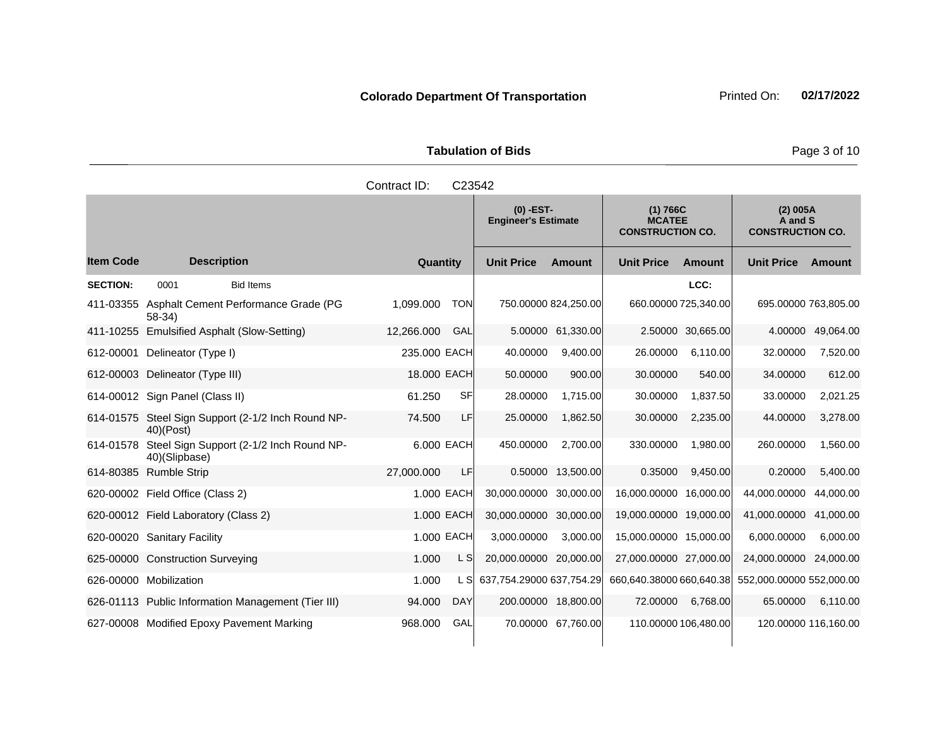|                     | <b>Tabulation of Bids</b> |
|---------------------|---------------------------|
| Contract ID: C23542 |                           |

|                  |                                                                     |              |            | $(0)$ -EST-<br><b>Engineer's Estimate</b> |                      | (1) 766C<br><b>MCATEE</b><br><b>CONSTRUCTION CO.</b> |                   | (2) 005A<br>A and S<br><b>CONSTRUCTION CO.</b> |                   |
|------------------|---------------------------------------------------------------------|--------------|------------|-------------------------------------------|----------------------|------------------------------------------------------|-------------------|------------------------------------------------|-------------------|
| <b>Item Code</b> | <b>Description</b>                                                  | Quantity     |            | <b>Unit Price</b>                         | <b>Amount</b>        | <b>Unit Price</b>                                    | Amount            | <b>Unit Price</b>                              | Amount            |
| <b>SECTION:</b>  | 0001<br><b>Bid Items</b>                                            |              |            |                                           |                      |                                                      | LCC:              |                                                |                   |
| 411-03355        | Asphalt Cement Performance Grade (PG<br>$58-34$                     | 1.099.000    | <b>TON</b> |                                           | 750.00000 824,250.00 | 660.00000 725,340.00                                 |                   | 695.00000 763,805.00                           |                   |
|                  | 411-10255 Emulsified Asphalt (Slow-Setting)                         | 12,266.000   | GAL        |                                           | 5.00000 61,330.00    |                                                      | 2.50000 30,665.00 |                                                | 4.00000 49,064.00 |
| 612-00001        | Delineator (Type I)                                                 | 235,000 EACH |            | 40.00000                                  | 9,400.00             | 26.00000                                             | 6,110.00          | 32.00000                                       | 7,520.00          |
| 612-00003        | Delineator (Type III)                                               | 18.000 EACH  |            | 50.00000                                  | 900.00               | 30.00000                                             | 540.00            | 34.00000                                       | 612.00            |
|                  | 614-00012 Sign Panel (Class II)                                     | 61.250       | <b>SF</b>  | 28.00000                                  | 1,715.00             | 30.00000                                             | 1,837.50          | 33.00000                                       | 2,021.25          |
|                  | 614-01575 Steel Sign Support (2-1/2 Inch Round NP-<br>$40$ $(Post)$ | 74.500       | <b>LF</b>  | 25.00000                                  | 1,862.50             | 30.00000                                             | 2,235.00          | 44.00000                                       | 3,278.00          |
| 614-01578        | Steel Sign Support (2-1/2 Inch Round NP-<br>40)(Slipbase)           |              | 6.000 EACH | 450.00000                                 | 2,700.00             | 330.00000                                            | 1,980.00          | 260.00000                                      | 1,560.00          |
| 614-80385        | <b>Rumble Strip</b>                                                 | 27,000.000   | LF         | 0.50000                                   | 13,500.00            | 0.35000                                              | 9,450.00          | 0.20000                                        | 5,400.00          |
|                  | 620-00002 Field Office (Class 2)                                    |              | 1.000 EACH | 30,000.00000                              | 30,000.00            | 16,000.00000                                         | 16,000.00         | 44,000.00000                                   | 44,000.00         |
|                  | 620-00012 Field Laboratory (Class 2)                                |              | 1.000 EACH | 30,000.00000 30,000.00                    |                      | 19,000.00000 19,000.00                               |                   | 41,000.00000 41,000.00                         |                   |
|                  | 620-00020 Sanitary Facility                                         |              | 1.000 EACH | 3,000.00000                               | 3,000.00             | 15,000.00000 15,000.00                               |                   | 6.000.00000                                    | 6.000.00          |
|                  | 625-00000 Construction Surveying                                    | 1.000        | L S        | 20,000.00000                              | 20,000.00            | 27,000.00000 27,000.00                               |                   | 24,000.00000 24,000.00                         |                   |
|                  | 626-00000 Mobilization                                              | 1.000        | L SI       | 637,754.29000 637,754.29                  |                      | 660,640.38000 660,640.38                             |                   | 552,000.00000 552,000.00                       |                   |
|                  | 626-01113 Public Information Management (Tier III)                  | 94.000       | <b>DAY</b> |                                           | 200.00000 18,800.00  | 72.00000                                             | 6,768.00          | 65.00000                                       | 6,110.00          |
|                  | 627-00008 Modified Epoxy Pavement Marking                           | 968,000      | GAL        |                                           | 70.00000 67,760.00   | 110.00000 106,480.00                                 |                   | 120.00000 116,160.00                           |                   |

**Page 3 of 10**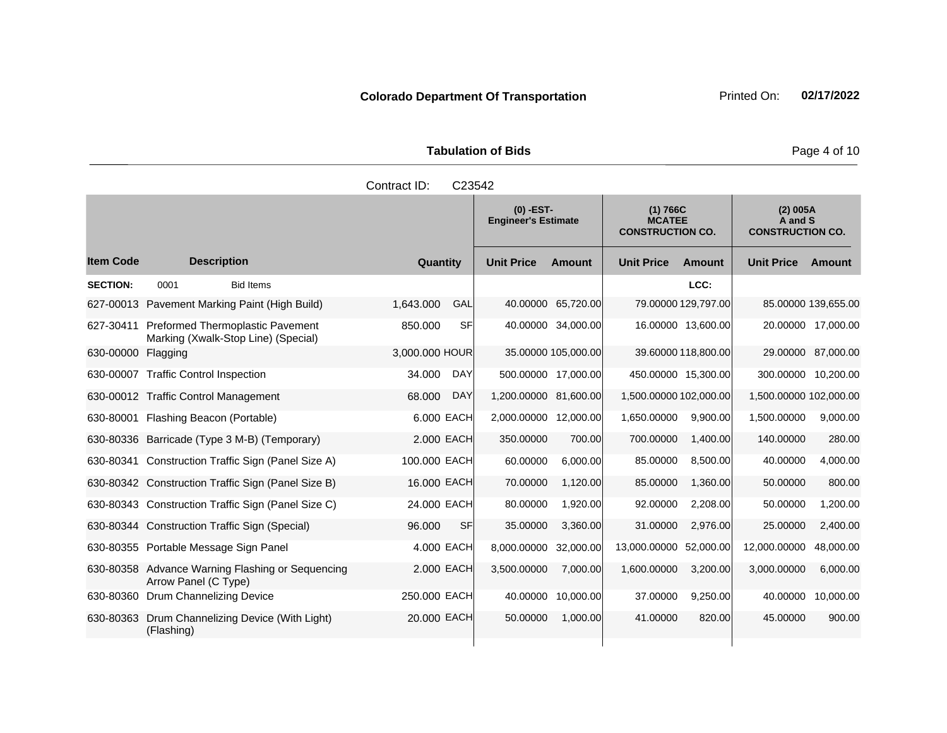|                     | <b>Tabulation of Bids</b> |  |  |  |  |  |  |  |  |  |
|---------------------|---------------------------|--|--|--|--|--|--|--|--|--|
| Contract ID: C23542 |                           |  |  |  |  |  |  |  |  |  |
|                     |                           |  |  |  |  |  |  |  |  |  |

|                  |                                                                         |                      |                       | $(0)$ -EST-<br>(1) 766C<br><b>MCATEE</b><br><b>Engineer's Estimate</b><br><b>CONSTRUCTION CO.</b> |                        | (2) 005A<br>A and S<br><b>CONSTRUCTION CO.</b> |                        |                     |
|------------------|-------------------------------------------------------------------------|----------------------|-----------------------|---------------------------------------------------------------------------------------------------|------------------------|------------------------------------------------|------------------------|---------------------|
| <b>Item Code</b> | <b>Description</b>                                                      | Quantity             | <b>Unit Price</b>     | <b>Amount</b>                                                                                     | <b>Unit Price</b>      | <b>Amount</b>                                  | <b>Unit Price</b>      | Amount              |
| <b>SECTION:</b>  | 0001<br><b>Bid Items</b>                                                |                      |                       |                                                                                                   |                        | LCC:                                           |                        |                     |
| 627-00013        | Pavement Marking Paint (High Build)                                     | 1,643.000<br>GAL     | 40.00000              | 65,720.00                                                                                         |                        | 79.00000 129,797.00                            |                        | 85.00000 139,655.00 |
| 627-30411        | Preformed Thermoplastic Pavement<br>Marking (Xwalk-Stop Line) (Special) | 850.000<br>SFI       |                       | 40.00000 34,000.00                                                                                |                        | 16.00000 13,600.00                             |                        | 20.00000 17,000.00  |
| 630-00000        | Flagging                                                                | 3,000.000 HOUR       |                       | 35.00000 105,000.00                                                                               |                        | 39.60000 118,800.00                            |                        | 29.00000 87,000.00  |
| 630-00007        | <b>Traffic Control Inspection</b>                                       | <b>DAY</b><br>34.000 | 500.00000 17,000.00   |                                                                                                   |                        | 450.00000 15,300.00                            | 300.00000 10,200.00    |                     |
|                  | 630-00012 Traffic Control Management                                    | 68.000<br><b>DAY</b> | 1,200.00000           | 81,600.00                                                                                         | 1,500.00000 102,000.00 |                                                | 1,500.00000 102,000.00 |                     |
| 630-80001        | Flashing Beacon (Portable)                                              | 6.000 EACH           | 2,000.00000 12,000.00 |                                                                                                   | 1,650.00000            | 9,900.00                                       | 1,500.00000            | 9,000.00            |
|                  | 630-80336 Barricade (Type 3 M-B) (Temporary)                            | 2.000 EACH           | 350.00000             | 700.00                                                                                            | 700.00000              | 1,400.00                                       | 140.00000              | 280.00              |
|                  | 630-80341 Construction Traffic Sign (Panel Size A)                      | 100.000 EACH         | 60.00000              | 6,000.00                                                                                          | 85.00000               | 8,500.00                                       | 40.00000               | 4,000.00            |
|                  | 630-80342 Construction Traffic Sign (Panel Size B)                      | 16.000 EACH          | 70.00000              | 1,120.00                                                                                          | 85.00000               | 1,360.00                                       | 50.00000               | 800.00              |
|                  | 630-80343 Construction Traffic Sign (Panel Size C)                      | 24.000 EACH          | 80.00000              | 1,920.00                                                                                          | 92.00000               | 2,208.00                                       | 50.00000               | 1,200.00            |
|                  | 630-80344 Construction Traffic Sign (Special)                           | SF<br>96.000         | 35.00000              | 3,360.00                                                                                          | 31.00000               | 2,976.00                                       | 25.00000               | 2,400.00            |
|                  | 630-80355 Portable Message Sign Panel                                   | 4.000 EACH           | 8,000.00000           | 32,000.00                                                                                         | 13,000.00000           | 52,000.00                                      | 12,000.00000           | 48,000.00           |
| 630-80358        | Advance Warning Flashing or Sequencing<br>Arrow Panel (C Type)          | 2.000 EACH           | 3,500.00000           | 7,000.00                                                                                          | 1,600.00000            | 3,200.00                                       | 3,000.00000            | 6,000.00            |
| 630-80360        | Drum Channelizing Device                                                | 250.000 EACH         | 40.00000              | 10,000.00                                                                                         | 37.00000               | 9,250.00                                       | 40.00000               | 10,000.00           |
| 630-80363        | Drum Channelizing Device (With Light)<br>(Flashing)                     | 20,000 EACH          | 50.00000              | 1,000.00                                                                                          | 41.00000               | 820.00                                         | 45.00000               | 900.00              |

**Page 4 of 10**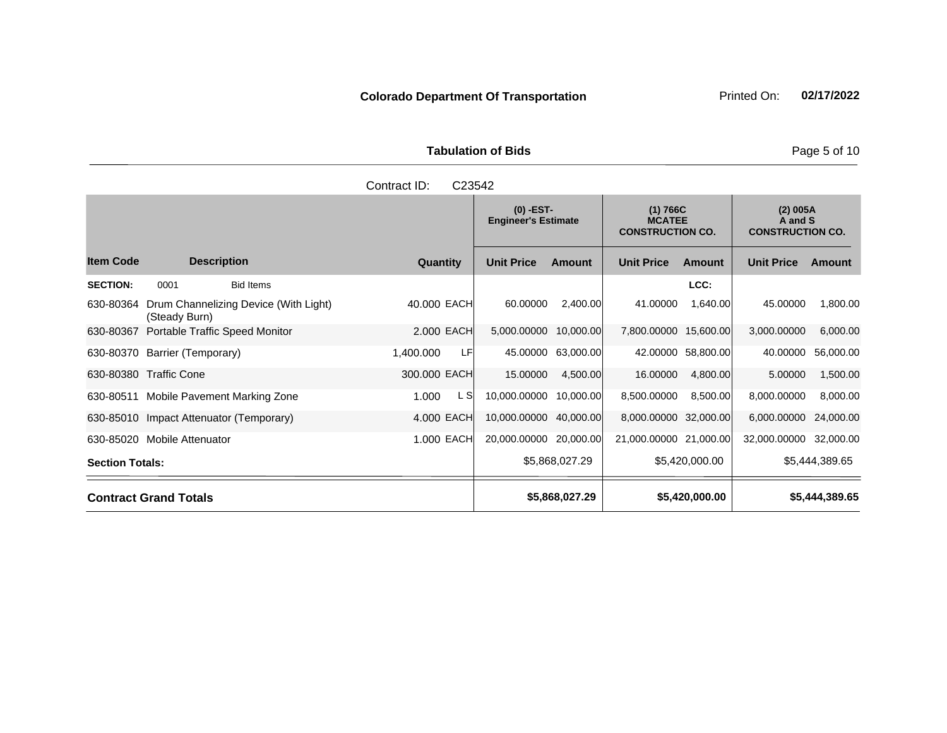**Tabulation of Bids Page 5 of 10** 

|                        | C23542<br>Contract ID:                                 |                  |                 |      |                                                                                                   |                    |                        |                                                |                        |                |
|------------------------|--------------------------------------------------------|------------------|-----------------|------|---------------------------------------------------------------------------------------------------|--------------------|------------------------|------------------------------------------------|------------------------|----------------|
|                        |                                                        |                  |                 |      | $(0)$ -EST-<br>(1) 766C<br><b>Engineer's Estimate</b><br><b>MCATEE</b><br><b>CONSTRUCTION CO.</b> |                    |                        | (2) 005A<br>A and S<br><b>CONSTRUCTION CO.</b> |                        |                |
| <b>Item Code</b>       | <b>Description</b>                                     |                  | <b>Quantity</b> |      | <b>Unit Price</b>                                                                                 | Amount             | <b>Unit Price</b>      | Amount                                         | <b>Unit Price</b>      | Amount         |
| <b>SECTION:</b>        | 0001                                                   | <b>Bid Items</b> |                 |      |                                                                                                   |                    |                        | LCC:                                           |                        |                |
| 630-80364              | Drum Channelizing Device (With Light)<br>(Steady Burn) |                  | 40,000 EACH     |      | 60.00000                                                                                          | 2,400.00           | 41.00000               | 1,640.00                                       | 45.00000               | 1,800.00       |
| 630-80367              | Portable Traffic Speed Monitor                         |                  | 2.000 EACH      |      | 5,000.00000                                                                                       | 10,000.00          | 7,800.00000 15,600.00  |                                                | 3,000.00000            | 6,000.00       |
|                        | 630-80370 Barrier (Temporary)                          |                  | 1,400.000       | LF   |                                                                                                   | 45.00000 63,000.00 |                        | 42.00000 58,800.00                             | 40.00000               | 56,000.00      |
|                        | 630-80380 Traffic Cone                                 |                  | 300.000 EACH    |      | 15.00000                                                                                          | 4,500.00           | 16.00000               | 4,800.00                                       | 5.00000                | 1,500.00       |
|                        | 630-80511 Mobile Pavement Marking Zone                 |                  | 1.000           | L SI | 10,000.00000                                                                                      | 10,000.00          | 8,500.00000            | 8,500.00                                       | 8,000.00000            | 8,000.00       |
|                        | 630-85010 Impact Attenuator (Temporary)                |                  | 4.000 EACH      |      | 10,000.00000 40,000.00                                                                            |                    | 8,000.00000 32,000.00  |                                                | 6,000.00000            | 24,000.00      |
|                        | 630-85020 Mobile Attenuator                            |                  | 1.000 EACH      |      | 20,000.00000                                                                                      | 20,000.00          | 21,000.00000 21,000.00 |                                                | 32,000.00000 32,000.00 |                |
| <b>Section Totals:</b> |                                                        |                  |                 |      |                                                                                                   | \$5,868,027.29     |                        | \$5,420,000.00                                 |                        | \$5,444,389.65 |
|                        | <b>Contract Grand Totals</b>                           |                  |                 |      |                                                                                                   | \$5,868,027.29     |                        | \$5,420,000.00                                 |                        | \$5,444,389.65 |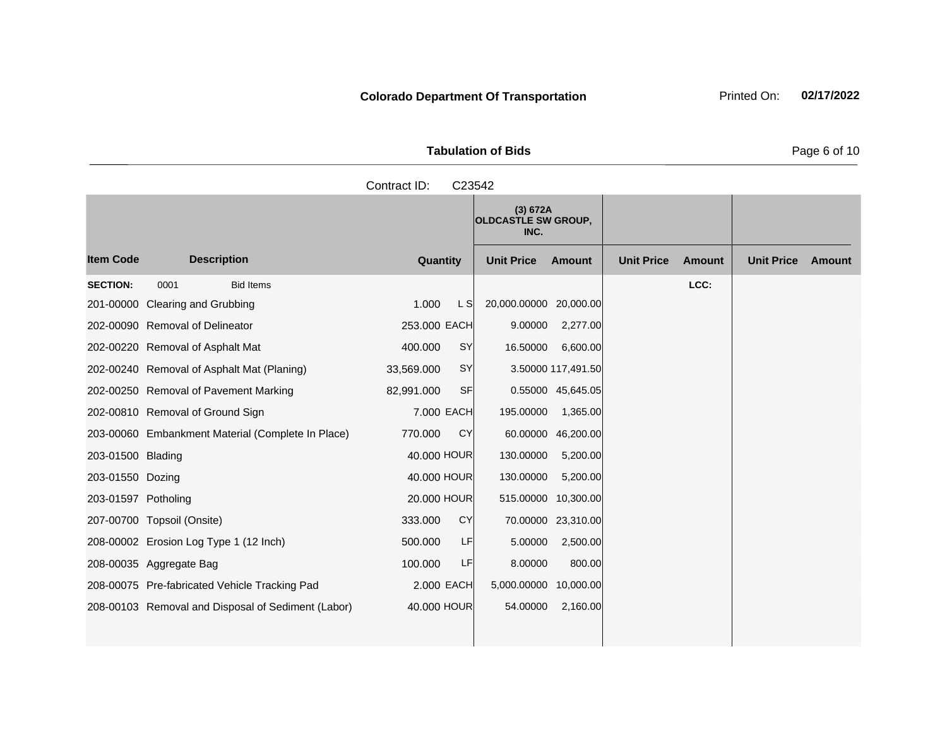**Tabulation of Bids** Page 6 of 10

|                   | Contract ID:<br>C23542                            |                         |                                                |                   |               |                   |               |  |  |  |
|-------------------|---------------------------------------------------|-------------------------|------------------------------------------------|-------------------|---------------|-------------------|---------------|--|--|--|
|                   |                                                   |                         | (3) 672A<br><b>OLDCASTLE SW GROUP,</b><br>INC. |                   |               |                   |               |  |  |  |
| <b>Item Code</b>  | <b>Description</b>                                | Quantity                | <b>Unit Price</b><br><b>Amount</b>             | <b>Unit Price</b> | <b>Amount</b> | <b>Unit Price</b> | <b>Amount</b> |  |  |  |
| <b>SECTION:</b>   | 0001<br><b>Bid Items</b>                          |                         |                                                |                   | LCC:          |                   |               |  |  |  |
|                   | 201-00000 Clearing and Grubbing                   | 1.000<br>L S            | 20,000.00000 20,000.00                         |                   |               |                   |               |  |  |  |
|                   | 202-00090 Removal of Delineator                   | 253.000 EACH            | 2,277.00<br>9.00000                            |                   |               |                   |               |  |  |  |
|                   | 202-00220 Removal of Asphalt Mat                  | <b>SY</b><br>400.000    | 16.50000<br>6,600.00                           |                   |               |                   |               |  |  |  |
|                   | 202-00240 Removal of Asphalt Mat (Planing)        | <b>SY</b><br>33,569.000 | 3.50000 117,491.50                             |                   |               |                   |               |  |  |  |
|                   | 202-00250 Removal of Pavement Marking             | SF<br>82,991.000        | 0.55000 45,645.05                              |                   |               |                   |               |  |  |  |
|                   | 202-00810 Removal of Ground Sign                  | 7.000 EACH              | 195.00000<br>1,365.00                          |                   |               |                   |               |  |  |  |
|                   | 203-00060 Embankment Material (Complete In Place) | <b>CY</b><br>770.000    | 60.00000<br>46,200.00                          |                   |               |                   |               |  |  |  |
| 203-01500 Blading |                                                   | 40.000 HOUR             | 130.00000<br>5,200.00                          |                   |               |                   |               |  |  |  |

203-01550 Dozing 203-01550 Apr 200 130.000 HOUR 130.00000 5,200.00 203-01597 Potholing 20.000 HOUR 515.00000 10,300.00 207-00700 Topsoil (Onsite) 333.000 CY 70.00000 23,310.00 208-00002 Erosion Log Type 1 (12 Inch) 500.000 LF 5.00000 2,500.00 208-00035 Aggregate Bag 100.000 LF 8.00000 800.00 208-00075 Pre-fabricated Vehicle Tracking Pad 2.000 EACH 5,000.00000 10,000.00 208-00103 Removal and Disposal of Sediment (Labor) 40.000 HOUR 54.00000 2,160.00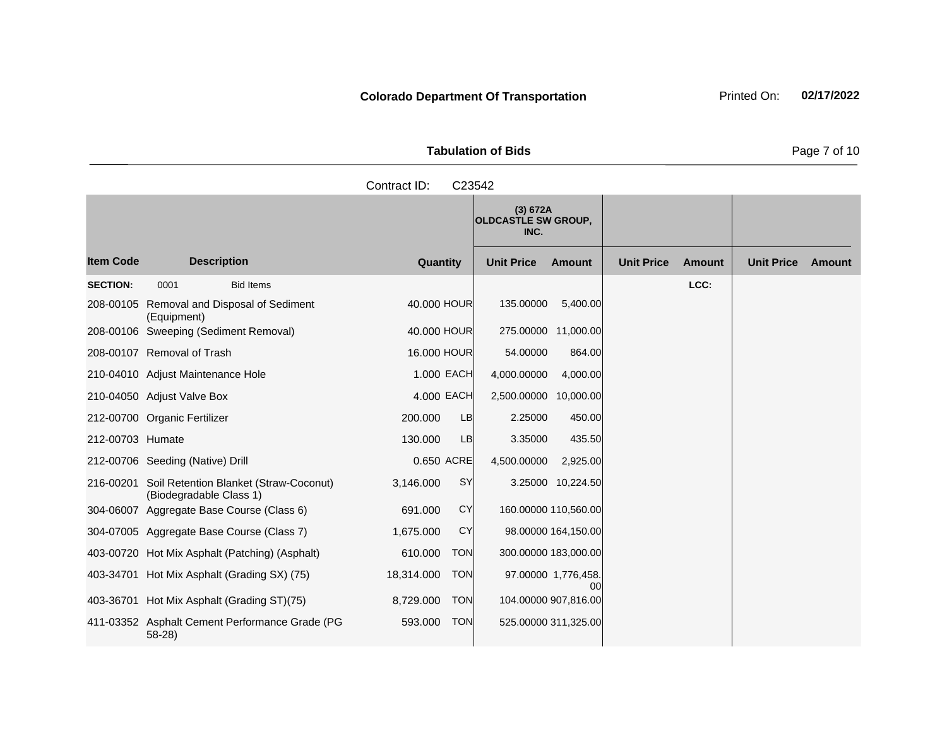|                       | <b>Tabulation of Bids</b>              |  |
|-----------------------|----------------------------------------|--|
| Contract $ID: C23542$ |                                        |  |
|                       | (3) 672A<br><b>OLDCASTLE SW GROUP,</b> |  |

|                  |                                                                   |                          | $\sqrt{2}$<br><b>OLDCASTLE SW GROUP,</b><br>INC. |                           |                   |               |                   |        |
|------------------|-------------------------------------------------------------------|--------------------------|--------------------------------------------------|---------------------------|-------------------|---------------|-------------------|--------|
| <b>Item Code</b> | <b>Description</b>                                                | Quantity                 | <b>Unit Price</b>                                | <b>Amount</b>             | <b>Unit Price</b> | <b>Amount</b> | <b>Unit Price</b> | Amount |
| <b>SECTION:</b>  | <b>Bid Items</b><br>0001                                          |                          |                                                  |                           |                   | LCC:          |                   |        |
|                  | 208-00105 Removal and Disposal of Sediment<br>(Equipment)         | 40.000 HOUR              | 135.00000                                        | 5,400.00                  |                   |               |                   |        |
|                  | 208-00106 Sweeping (Sediment Removal)                             | 40,000 HOUR              | 275.00000                                        | 11,000.00                 |                   |               |                   |        |
|                  | 208-00107 Removal of Trash                                        | 16,000 HOUR              | 54.00000                                         | 864.00                    |                   |               |                   |        |
|                  | 210-04010 Adjust Maintenance Hole                                 | 1.000 EACH               | 4,000.00000                                      | 4,000.00                  |                   |               |                   |        |
|                  | 210-04050 Adjust Valve Box                                        | 4.000 EACH               | 2,500.00000 10,000.00                            |                           |                   |               |                   |        |
|                  | 212-00700 Organic Fertilizer                                      | 200,000<br><b>LB</b>     | 2.25000                                          | 450.00                    |                   |               |                   |        |
| 212-00703 Humate |                                                                   | <b>LB</b><br>130,000     | 3.35000                                          | 435.50                    |                   |               |                   |        |
|                  | 212-00706 Seeding (Native) Drill                                  | 0.650 ACRE               | 4,500.00000                                      | 2,925.00                  |                   |               |                   |        |
| 216-00201        | Soil Retention Blanket (Straw-Coconut)<br>(Biodegradable Class 1) | SY<br>3,146.000          |                                                  | 3.25000 10,224.50         |                   |               |                   |        |
| 304-06007        | Aggregate Base Course (Class 6)                                   | CY<br>691.000            |                                                  | 160.00000 110,560.00      |                   |               |                   |        |
|                  | 304-07005 Aggregate Base Course (Class 7)                         | <b>CY</b><br>1,675.000   |                                                  | 98.00000 164,150.00       |                   |               |                   |        |
|                  | 403-00720 Hot Mix Asphalt (Patching) (Asphalt)                    | <b>TON</b><br>610.000    |                                                  | 300.00000 183,000.00      |                   |               |                   |        |
|                  | 403-34701 Hot Mix Asphalt (Grading SX) (75)                       | 18,314.000<br><b>TON</b> |                                                  | 97.00000 1,776,458.<br>00 |                   |               |                   |        |
|                  | 403-36701 Hot Mix Asphalt (Grading ST)(75)                        | <b>TON</b><br>8,729.000  |                                                  | 104.00000 907,816.00      |                   |               |                   |        |
|                  | 411-03352 Asphalt Cement Performance Grade (PG<br>$58-28$         | 593.000<br><b>TON</b>    |                                                  | 525.00000 311,325.00      |                   |               |                   |        |

**Page 7 of 10**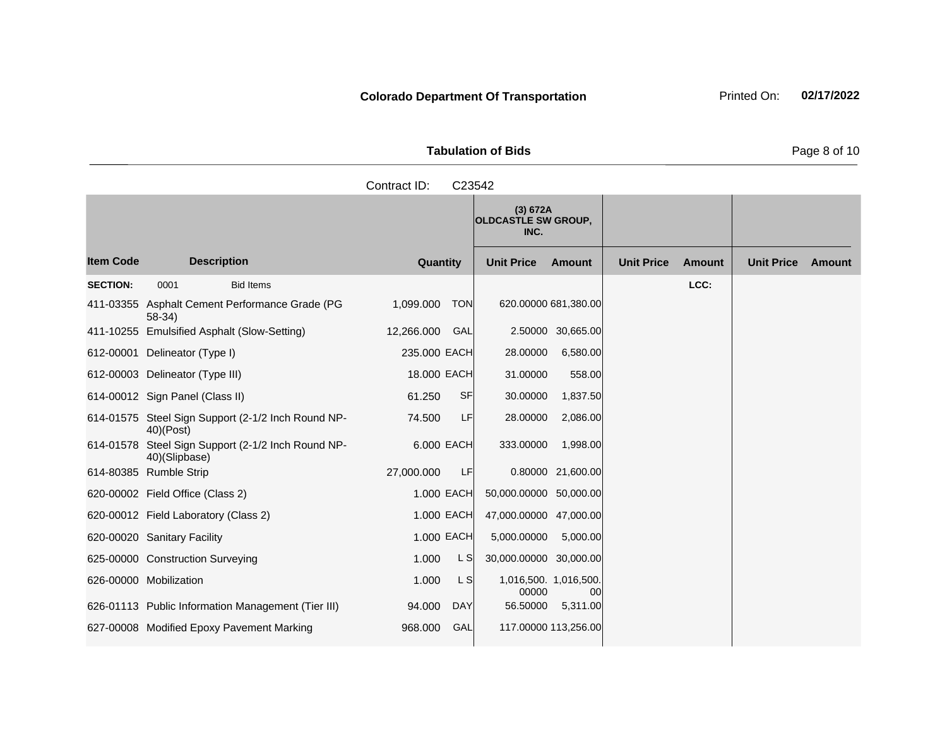|           |              | <b>Tabulation of Bids</b>                      |                   |               |                    | Page 8 of 10 |
|-----------|--------------|------------------------------------------------|-------------------|---------------|--------------------|--------------|
|           | Contract ID: | C <sub>23542</sub>                             |                   |               |                    |              |
|           |              | (3) 672A<br><b>OLDCASTLE SW GROUP,</b><br>INC. |                   |               |                    |              |
| cerintion | $Q$ ugntity  | <b>Ilpit Drigo</b><br>$A$ mo $\cdots$          | <b>Unit Drigo</b> | $A_{\rm max}$ | Ilpit Drigo Amount |              |

|                  |                                                                    |                         | (3) 672A<br><b>OLDCASTLE SW GROUP,</b><br>INC. |                   |                   |               |                   |        |
|------------------|--------------------------------------------------------------------|-------------------------|------------------------------------------------|-------------------|-------------------|---------------|-------------------|--------|
| <b>Item Code</b> | <b>Description</b>                                                 | Quantity                | <b>Unit Price</b>                              | <b>Amount</b>     | <b>Unit Price</b> | <b>Amount</b> | <b>Unit Price</b> | Amount |
| <b>SECTION:</b>  | 0001<br><b>Bid Items</b>                                           |                         |                                                |                   |                   | LCC:          |                   |        |
|                  | 411-03355 Asphalt Cement Performance Grade (PG<br>$58-34)$         | 1,099.000<br><b>TON</b> | 620.00000 681,380.00                           |                   |                   |               |                   |        |
|                  | 411-10255 Emulsified Asphalt (Slow-Setting)                        | GAL<br>12,266.000       |                                                | 2.50000 30,665.00 |                   |               |                   |        |
|                  | 612-00001 Delineator (Type I)                                      | 235.000 EACH            | 28.00000                                       | 6,580.00          |                   |               |                   |        |
|                  | 612-00003 Delineator (Type III)                                    | 18.000 EACH             | 31.00000                                       | 558.00            |                   |               |                   |        |
|                  | 614-00012 Sign Panel (Class II)                                    | 61.250<br><b>SF</b>     | 30.00000                                       | 1,837.50          |                   |               |                   |        |
|                  | 614-01575 Steel Sign Support (2-1/2 Inch Round NP-<br>$40)$ (Post) | LF<br>74.500            | 28.00000                                       | 2,086.00          |                   |               |                   |        |
| 614-01578        | Steel Sign Support (2-1/2 Inch Round NP-<br>40)(Slipbase)          | 6.000 EACH              | 333.00000                                      | 1,998.00          |                   |               |                   |        |
|                  | 614-80385 Rumble Strip                                             | 27,000.000<br>LF        |                                                | 0.80000 21,600.00 |                   |               |                   |        |
|                  | 620-00002 Field Office (Class 2)                                   | 1.000 EACH              | 50,000.00000 50,000.00                         |                   |                   |               |                   |        |
|                  | 620-00012 Field Laboratory (Class 2)                               | 1.000 EACH              | 47,000.00000 47,000.00                         |                   |                   |               |                   |        |
|                  | 620-00020 Sanitary Facility                                        | 1.000 EACH              | 5,000.00000                                    | 5,000.00          |                   |               |                   |        |
|                  | 625-00000 Construction Surveying                                   | 1.000<br>L S            | 30,000.00000 30,000.00                         |                   |                   |               |                   |        |
|                  | 626-00000 Mobilization                                             | L S<br>1.000            | 1,016,500. 1,016,500.<br>00000                 | 00                |                   |               |                   |        |
|                  | 626-01113 Public Information Management (Tier III)                 | 94.000<br><b>DAY</b>    | 56.50000                                       | 5,311.00          |                   |               |                   |        |
|                  | 627-00008 Modified Epoxy Pavement Marking                          | GAL<br>968.000          | 117.00000 113,256.00                           |                   |                   |               |                   |        |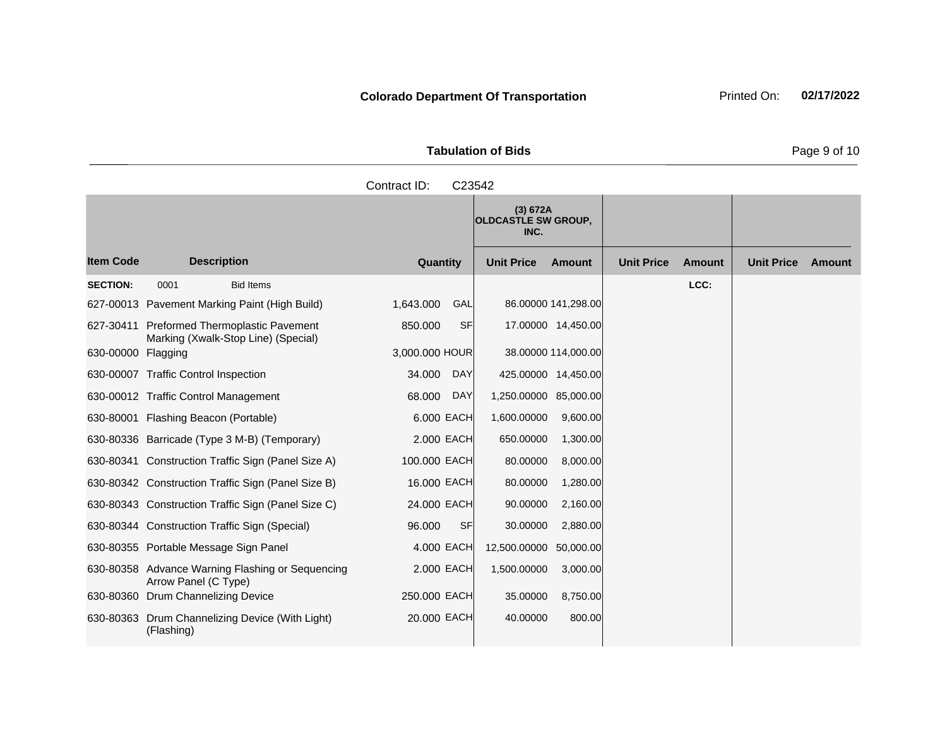|                     | <b>Tabulation of Bids</b> |
|---------------------|---------------------------|
| Contract ID: C23542 |                           |
|                     | $(2)$ $C72$               |

|                    |                                                                                   |                      | (3) 672A<br><b>OLDCASTLE SW GROUP,</b><br>INC. |                     |                   |               |                   |               |
|--------------------|-----------------------------------------------------------------------------------|----------------------|------------------------------------------------|---------------------|-------------------|---------------|-------------------|---------------|
| <b>Item Code</b>   | <b>Description</b>                                                                | Quantity             | <b>Unit Price</b>                              | <b>Amount</b>       | <b>Unit Price</b> | <b>Amount</b> | <b>Unit Price</b> | <b>Amount</b> |
| <b>SECTION:</b>    | 0001<br><b>Bid Items</b>                                                          |                      |                                                |                     |                   | LCC:          |                   |               |
|                    | 627-00013 Pavement Marking Paint (High Build)                                     | 1,643.000<br>GAL     |                                                | 86.00000 141,298.00 |                   |               |                   |               |
|                    | 627-30411 Preformed Thermoplastic Pavement<br>Marking (Xwalk-Stop Line) (Special) | <b>SF</b><br>850.000 |                                                | 17.00000 14,450.00  |                   |               |                   |               |
| 630-00000 Flagging |                                                                                   | 3,000.000 HOUR       |                                                | 38.00000 114,000.00 |                   |               |                   |               |
|                    | 630-00007 Traffic Control Inspection                                              | DAY<br>34.000        | 425.00000 14,450.00                            |                     |                   |               |                   |               |
|                    | 630-00012 Traffic Control Management                                              | 68.000<br><b>DAY</b> | 1,250.00000                                    | 85,000.00           |                   |               |                   |               |
|                    | 630-80001 Flashing Beacon (Portable)                                              | 6.000 EACH           | 1,600.00000                                    | 9,600.00            |                   |               |                   |               |
|                    | 630-80336 Barricade (Type 3 M-B) (Temporary)                                      | 2,000 EACH           | 650.00000                                      | 1,300.00            |                   |               |                   |               |
|                    | 630-80341 Construction Traffic Sign (Panel Size A)                                | 100,000 EACH         | 80.00000                                       | 8,000.00            |                   |               |                   |               |
|                    | 630-80342 Construction Traffic Sign (Panel Size B)                                | 16.000 EACH          | 80.00000                                       | 1,280.00            |                   |               |                   |               |
|                    | 630-80343 Construction Traffic Sign (Panel Size C)                                | 24.000 EACH          | 90.00000                                       | 2,160.00            |                   |               |                   |               |
|                    | 630-80344 Construction Traffic Sign (Special)                                     | <b>SF</b><br>96.000  | 30.00000                                       | 2,880.00            |                   |               |                   |               |
|                    | 630-80355 Portable Message Sign Panel                                             | 4.000 EACH           | 12,500.00000                                   | 50,000.00           |                   |               |                   |               |
|                    | 630-80358 Advance Warning Flashing or Sequencing<br>Arrow Panel (C Type)          | 2,000 EACH           | 1,500.00000                                    | 3,000.00            |                   |               |                   |               |
|                    | 630-80360 Drum Channelizing Device                                                | 250.000 EACH         | 35.00000                                       | 8,750.00            |                   |               |                   |               |
|                    | 630-80363 Drum Channelizing Device (With Light)<br>(Flashing)                     | 20.000 EACH          | 40.00000                                       | 800.00              |                   |               |                   |               |

Page 9 of 10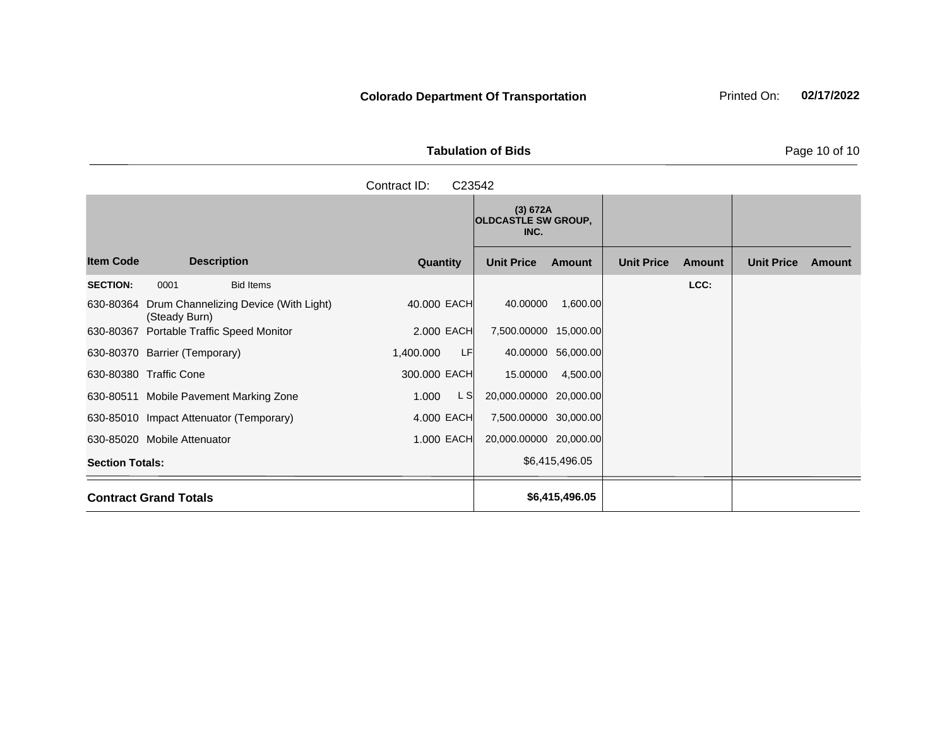Tabulation of Bids **Page 10 of 10** 

|                        |                               |                                         | Contract ID: | C23542 |                                                |                    |                   |               |                   |        |
|------------------------|-------------------------------|-----------------------------------------|--------------|--------|------------------------------------------------|--------------------|-------------------|---------------|-------------------|--------|
|                        |                               |                                         |              |        | (3) 672A<br><b>OLDCASTLE SW GROUP,</b><br>INC. |                    |                   |               |                   |        |
| <b>Item Code</b>       |                               | <b>Description</b>                      | Quantity     |        | <b>Unit Price</b>                              | Amount             | <b>Unit Price</b> | <b>Amount</b> | <b>Unit Price</b> | Amount |
| <b>SECTION:</b>        | 0001                          | <b>Bid Items</b>                        |              |        |                                                |                    |                   | LCC:          |                   |        |
| 630-80364              | (Steady Burn)                 | Drum Channelizing Device (With Light)   | 40.000 EACH  |        | 40.00000                                       | 1,600.00           |                   |               |                   |        |
| 630-80367              |                               | <b>Portable Traffic Speed Monitor</b>   | 2.000 EACH   |        | 7,500.00000 15,000.00                          |                    |                   |               |                   |        |
|                        | 630-80370 Barrier (Temporary) |                                         | 1,400.000    | LF     |                                                | 40.00000 56,000.00 |                   |               |                   |        |
|                        | 630-80380 Traffic Cone        |                                         | 300.000 EACH |        | 15.00000                                       | 4,500.00           |                   |               |                   |        |
|                        |                               | 630-80511 Mobile Pavement Marking Zone  | 1.000        | L S    | 20,000.00000 20,000.00                         |                    |                   |               |                   |        |
|                        |                               | 630-85010 Impact Attenuator (Temporary) | 4.000 EACH   |        | 7,500.00000 30,000.00                          |                    |                   |               |                   |        |
|                        | 630-85020 Mobile Attenuator   |                                         | 1.000 EACH   |        | 20,000.00000 20,000.00                         |                    |                   |               |                   |        |
| <b>Section Totals:</b> |                               |                                         |              |        |                                                | \$6,415,496.05     |                   |               |                   |        |
|                        | <b>Contract Grand Totals</b>  |                                         |              |        |                                                | \$6,415,496.05     |                   |               |                   |        |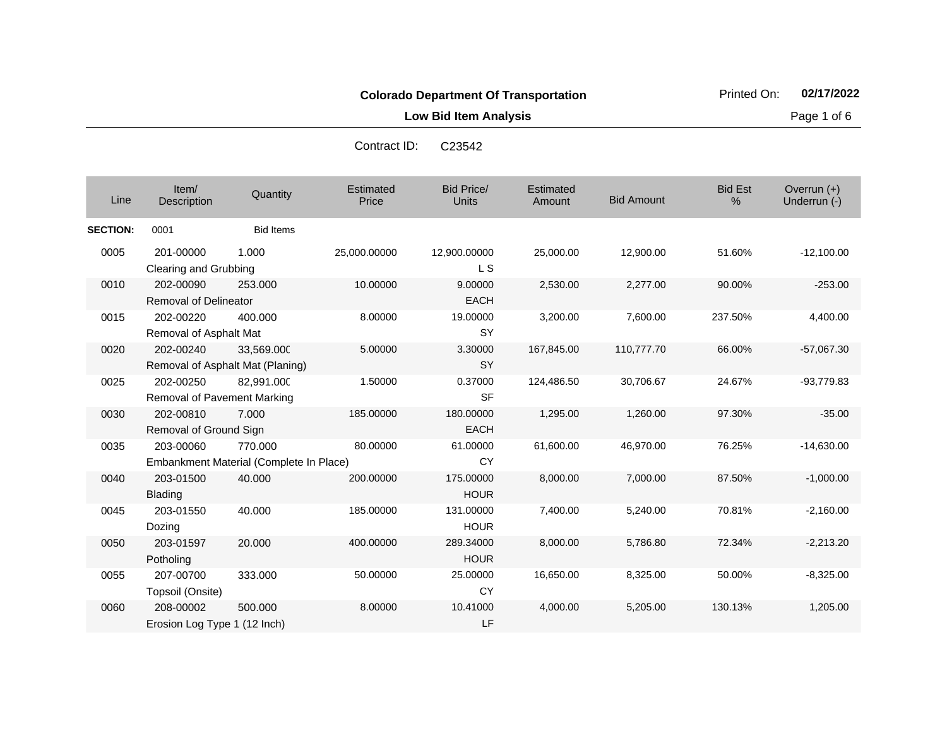**Low Bid Item Analysis Page 1 of 6** 

|                 |                                                 |                                                    | oviniaut ip.       | ◡∠◡◡┭∠                            |                     |                   |                     |                               |
|-----------------|-------------------------------------------------|----------------------------------------------------|--------------------|-----------------------------------|---------------------|-------------------|---------------------|-------------------------------|
| Line            | Item/<br>Description                            | Quantity                                           | Estimated<br>Price | <b>Bid Price/</b><br><b>Units</b> | Estimated<br>Amount | <b>Bid Amount</b> | <b>Bid Est</b><br>% | Overrun $(+)$<br>Underrun (-) |
| <b>SECTION:</b> | 0001                                            | <b>Bid Items</b>                                   |                    |                                   |                     |                   |                     |                               |
| 0005            | 201-00000<br>Clearing and Grubbing              | 1.000                                              | 25,000.00000       | 12,900.00000<br>L S               | 25,000.00           | 12,900.00         | 51.60%              | $-12,100.00$                  |
| 0010            | 202-00090<br>Removal of Delineator              | 253.000                                            | 10.00000           | 9.00000<br><b>EACH</b>            | 2,530.00            | 2,277.00          | 90.00%              | $-253.00$                     |
| 0015            | 202-00220<br>Removal of Asphalt Mat             | 400.000                                            | 8.00000            | 19.00000<br><b>SY</b>             | 3,200.00            | 7,600.00          | 237.50%             | 4,400.00                      |
| 0020            | 202-00240                                       | 33,569.000<br>Removal of Asphalt Mat (Planing)     | 5.00000            | 3.30000<br><b>SY</b>              | 167,845.00          | 110,777.70        | 66.00%              | $-57,067.30$                  |
| 0025            | 202-00250<br><b>Removal of Pavement Marking</b> | 82,991.000                                         | 1.50000            | 0.37000<br><b>SF</b>              | 124,486.50          | 30,706.67         | 24.67%              | $-93,779.83$                  |
| 0030            | 202-00810<br>Removal of Ground Sign             | 7.000                                              | 185.00000          | 180.00000<br><b>EACH</b>          | 1,295.00            | 1,260.00          | 97.30%              | $-35.00$                      |
| 0035            | 203-00060                                       | 770.000<br>Embankment Material (Complete In Place) | 80.00000           | 61.00000<br><b>CY</b>             | 61,600.00           | 46,970.00         | 76.25%              | $-14,630.00$                  |
| 0040            | 203-01500<br>Blading                            | 40.000                                             | 200.00000          | 175.00000<br><b>HOUR</b>          | 8,000.00            | 7,000.00          | 87.50%              | $-1,000.00$                   |
| 0045            | 203-01550<br>Dozing                             | 40.000                                             | 185.00000          | 131.00000<br><b>HOUR</b>          | 7,400.00            | 5,240.00          | 70.81%              | $-2,160.00$                   |
| 0050            | 203-01597<br>Potholing                          | 20.000                                             | 400.00000          | 289.34000<br><b>HOUR</b>          | 8,000.00            | 5,786.80          | 72.34%              | $-2,213.20$                   |
| 0055            | 207-00700<br>Topsoil (Onsite)                   | 333.000                                            | 50.00000           | 25.00000<br><b>CY</b>             | 16,650.00           | 8,325.00          | 50.00%              | $-8,325.00$                   |
| 0060            | 208-00002                                       | 500.000                                            | 8.00000            | 10.41000                          | 4,000.00            | 5.205.00          | 130.13%             | 1,205.00                      |

LF

Erosion Log Type 1 (12 Inch)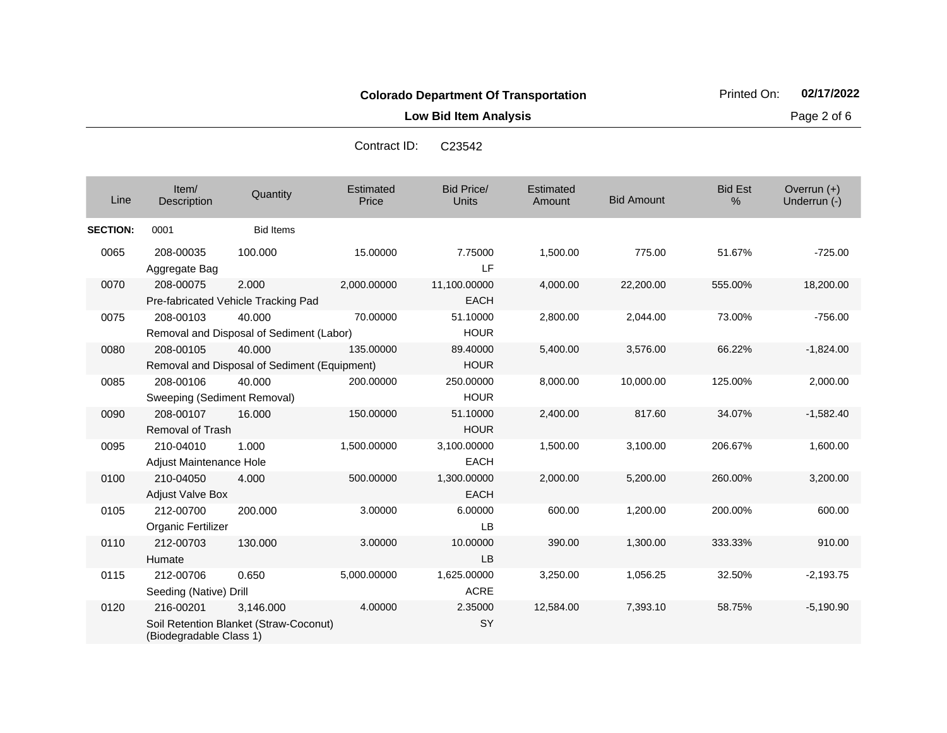**Low Bid Item Analysis Page 2 of 6** 

| Line            | Item/<br>Description                                      | Quantity                                            | Estimated<br>Price | <b>Bid Price/</b><br><b>Units</b> | Estimated<br>Amount | <b>Bid Amount</b> | <b>Bid Est</b><br>% | Overrun $(+)$<br>Underrun (-) |
|-----------------|-----------------------------------------------------------|-----------------------------------------------------|--------------------|-----------------------------------|---------------------|-------------------|---------------------|-------------------------------|
| <b>SECTION:</b> | 0001                                                      | <b>Bid Items</b>                                    |                    |                                   |                     |                   |                     |                               |
| 0065            | 208-00035<br>Aggregate Bag                                | 100.000                                             | 15.00000           | 7.75000<br>LF.                    | 1,500.00            | 775.00            | 51.67%              | $-725.00$                     |
| 0070            | 208-00075<br>Pre-fabricated Vehicle Tracking Pad          | 2.000                                               | 2,000.00000        | 11,100.00000<br><b>EACH</b>       | 4,000.00            | 22,200.00         | 555.00%             | 18,200.00                     |
| 0075            | 208-00103                                                 | 40.000<br>Removal and Disposal of Sediment (Labor)  | 70.00000           | 51.10000<br><b>HOUR</b>           | 2,800.00            | 2,044.00          | 73.00%              | $-756.00$                     |
| 0080            | 208-00105<br>Removal and Disposal of Sediment (Equipment) | 40.000                                              | 135.00000          | 89.40000<br><b>HOUR</b>           | 5,400.00            | 3,576.00          | 66.22%              | $-1,824.00$                   |
| 0085            | 208-00106<br>Sweeping (Sediment Removal)                  | 40.000                                              | 200.00000          | 250,00000<br><b>HOUR</b>          | 8,000.00            | 10,000.00         | 125.00%             | 2,000.00                      |
| 0090            | 208-00107<br>Removal of Trash                             | 16.000                                              | 150.00000          | 51.10000<br><b>HOUR</b>           | 2,400.00            | 817.60            | 34.07%              | $-1,582.40$                   |
| 0095            | 210-04010<br>Adjust Maintenance Hole                      | 1.000                                               | 1,500.00000        | 3,100.00000<br><b>EACH</b>        | 1,500.00            | 3,100.00          | 206.67%             | 1,600.00                      |
| 0100            | 210-04050<br><b>Adjust Valve Box</b>                      | 4.000                                               | 500.00000          | 1,300.00000<br><b>EACH</b>        | 2,000.00            | 5,200.00          | 260.00%             | 3,200.00                      |
| 0105            | 212-00700<br>Organic Fertilizer                           | 200.000                                             | 3.00000            | 6.00000<br>LB                     | 600.00              | 1,200.00          | 200.00%             | 600.00                        |
| 0110            | 212-00703<br>Humate                                       | 130.000                                             | 3.00000            | 10.00000<br>LB                    | 390.00              | 1,300.00          | 333.33%             | 910.00                        |
| 0115            | 212-00706<br>Seeding (Native) Drill                       | 0.650                                               | 5,000.00000        | 1,625.00000<br><b>ACRE</b>        | 3,250.00            | 1,056.25          | 32.50%              | $-2,193.75$                   |
| 0120            | 216-00201<br>(Biodegradable Class 1)                      | 3,146.000<br>Soil Retention Blanket (Straw-Coconut) | 4.00000            | 2.35000<br>SY                     | 12,584.00           | 7,393.10          | 58.75%              | $-5,190.90$                   |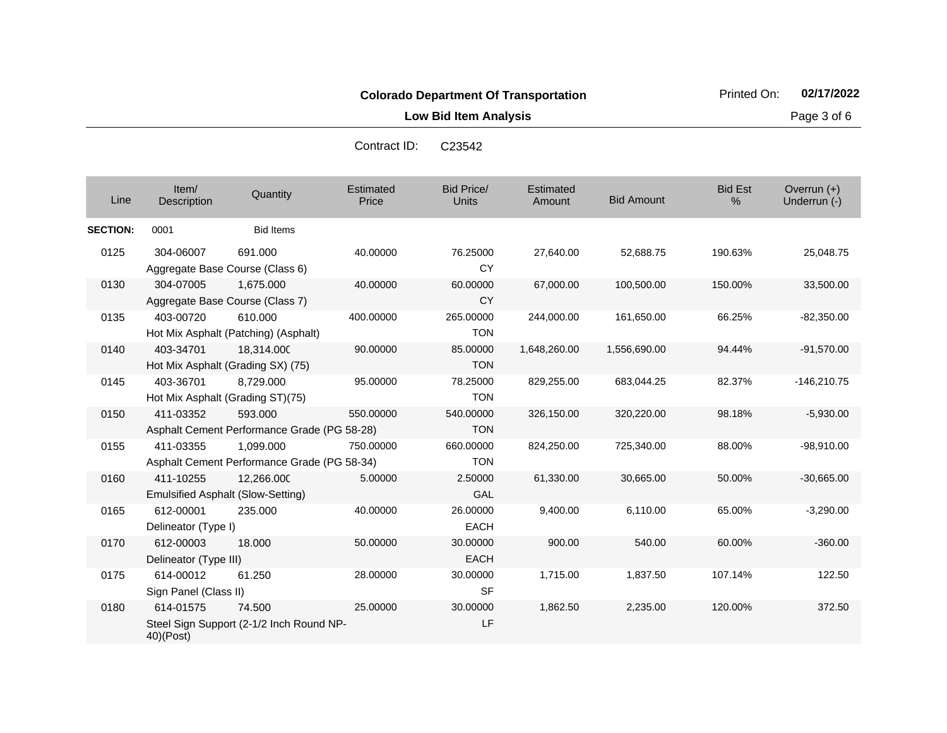**Low Bid Item Analysis Page 3 of 6** 

| Line            | Item/<br><b>Description</b>        | Quantity                                                 | Estimated<br>Price | <b>Bid Price/</b><br>Units | Estimated<br>Amount | <b>Bid Amount</b> | <b>Bid Est</b><br>% | Overrun (+)<br>Underrun (-) |
|-----------------|------------------------------------|----------------------------------------------------------|--------------------|----------------------------|---------------------|-------------------|---------------------|-----------------------------|
| <b>SECTION:</b> | 0001                               | <b>Bid Items</b>                                         |                    |                            |                     |                   |                     |                             |
| 0125            | 304-06007                          | 691.000<br>Aggregate Base Course (Class 6)               | 40.00000           | 76.25000<br>CY             | 27,640.00           | 52,688.75         | 190.63%             | 25,048.75                   |
| 0130            | 304-07005                          | 1,675.000<br>Aggregate Base Course (Class 7)             | 40.00000           | 60.00000<br><b>CY</b>      | 67,000.00           | 100,500.00        | 150.00%             | 33,500.00                   |
| 0135            | 403-00720                          | 610.000<br>Hot Mix Asphalt (Patching) (Asphalt)          | 400.00000          | 265.00000<br><b>TON</b>    | 244,000.00          | 161,650.00        | 66.25%              | $-82,350.00$                |
| 0140            | 403-34701                          | 18,314.000<br>Hot Mix Asphalt (Grading SX) (75)          | 90.00000           | 85.00000<br><b>TON</b>     | 1,648,260.00        | 1,556,690.00      | 94.44%              | $-91,570.00$                |
| 0145            | 403-36701                          | 8,729.000<br>Hot Mix Asphalt (Grading ST)(75)            | 95.00000           | 78.25000<br><b>TON</b>     | 829,255.00          | 683,044.25        | 82.37%              | $-146,210.75$               |
| 0150            | 411-03352                          | 593,000<br>Asphalt Cement Performance Grade (PG 58-28)   | 550.00000          | 540.00000<br><b>TON</b>    | 326,150.00          | 320,220.00        | 98.18%              | $-5,930.00$                 |
| 0155            | 411-03355                          | 1,099.000<br>Asphalt Cement Performance Grade (PG 58-34) | 750,00000          | 660.00000<br><b>TON</b>    | 824,250.00          | 725,340.00        | 88.00%              | $-98,910.00$                |
| 0160            | 411-10255                          | 12,266.000<br><b>Emulsified Asphalt (Slow-Setting)</b>   | 5.00000            | 2.50000<br>GAL             | 61,330.00           | 30,665.00         | 50.00%              | $-30,665.00$                |
| 0165            | 612-00001<br>Delineator (Type I)   | 235.000                                                  | 40.00000           | 26.00000<br><b>EACH</b>    | 9,400.00            | 6,110.00          | 65.00%              | $-3,290.00$                 |
| 0170            | 612-00003<br>Delineator (Type III) | 18.000                                                   | 50.00000           | 30.00000<br><b>EACH</b>    | 900.00              | 540.00            | 60.00%              | $-360.00$                   |
| 0175            | 614-00012<br>Sign Panel (Class II) | 61.250                                                   | 28.00000           | 30.00000<br><b>SF</b>      | 1,715.00            | 1,837.50          | 107.14%             | 122.50                      |
| 0180            | 614-01575<br>40)(Post)             | 74.500<br>Steel Sign Support (2-1/2 Inch Round NP-       | 25.00000           | 30.00000<br>LF             | 1,862.50            | 2,235.00          | 120.00%             | 372.50                      |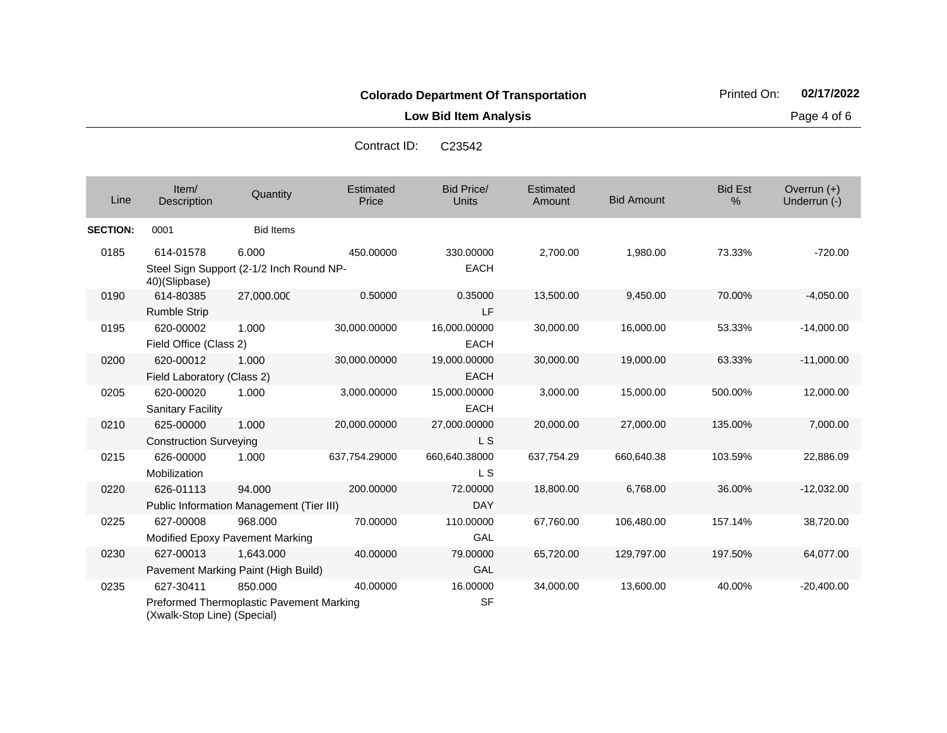**Low Bid Item Analysis Page 4 of 6** 

| C <sub>23542</sub> |
|--------------------|
|                    |
|                    |
|                    |
|                    |
|                    |
|                    |

| Line            | Item/<br>Description                     | Quantity                                 | Estimated<br>Price | <b>Bid Price/</b><br><b>Units</b> | Estimated<br>Amount | <b>Bid Amount</b> | <b>Bid Est</b><br>% | Overrun $(+)$<br>Underrun (-) |
|-----------------|------------------------------------------|------------------------------------------|--------------------|-----------------------------------|---------------------|-------------------|---------------------|-------------------------------|
| <b>SECTION:</b> | 0001                                     | <b>Bid Items</b>                         |                    |                                   |                     |                   |                     |                               |
| 0185            | 614-01578                                | 6.000                                    | 450.00000          | 330.00000                         | 2,700.00            | 1,980.00          | 73.33%              | $-720.00$                     |
|                 | 40)(Slipbase)                            | Steel Sign Support (2-1/2 Inch Round NP- |                    | <b>EACH</b>                       |                     |                   |                     |                               |
| 0190            | 614-80385                                | 27,000.000                               | 0.50000            | 0.35000                           | 13,500.00           | 9,450.00          | 70.00%              | $-4,050.00$                   |
|                 | <b>Rumble Strip</b>                      |                                          |                    | LF                                |                     |                   |                     |                               |
| 0195            | 620-00002                                | 1.000                                    | 30,000.00000       | 16,000.00000                      | 30,000.00           | 16,000.00         | 53.33%              | $-14,000.00$                  |
|                 | Field Office (Class 2)                   |                                          |                    | <b>EACH</b>                       |                     |                   |                     |                               |
| 0200            | 620-00012                                | 1.000                                    | 30,000.00000       | 19,000.00000                      | 30,000.00           | 19,000.00         | 63.33%              | $-11,000.00$                  |
|                 | Field Laboratory (Class 2)               |                                          |                    | <b>EACH</b>                       |                     |                   |                     |                               |
| 0205            | 620-00020                                | 1.000                                    | 3,000.00000        | 15,000.00000                      | 3,000.00            | 15,000.00         | 500.00%             | 12,000.00                     |
|                 | <b>Sanitary Facility</b>                 |                                          |                    | <b>EACH</b>                       |                     |                   |                     |                               |
| 0210            | 625-00000                                | 1.000                                    | 20,000.00000       | 27,000.00000                      | 20,000.00           | 27,000.00         | 135.00%             | 7,000.00                      |
|                 | <b>Construction Surveying</b>            |                                          |                    | L S                               |                     |                   |                     |                               |
| 0215            | 626-00000                                | 1.000                                    | 637,754.29000      | 660,640.38000                     | 637,754.29          | 660,640.38        | 103.59%             | 22,886.09                     |
|                 | Mobilization                             |                                          |                    | L S                               |                     |                   |                     |                               |
| 0220            | 626-01113                                | 94.000                                   | 200.00000          | 72.00000                          | 18,800.00           | 6,768.00          | 36.00%              | $-12,032.00$                  |
|                 | Public Information Management (Tier III) |                                          |                    | <b>DAY</b>                        |                     |                   |                     |                               |
| 0225            | 627-00008                                | 968.000                                  | 70.00000           | 110.00000                         | 67,760.00           | 106,480.00        | 157.14%             | 38,720.00                     |
|                 | Modified Epoxy Pavement Marking          |                                          |                    | GAL                               |                     |                   |                     |                               |
| 0230            | 627-00013                                | 1.643.000                                | 40.00000           | 79.00000                          | 65,720.00           | 129,797.00        | 197.50%             | 64,077.00                     |
|                 | Pavement Marking Paint (High Build)      |                                          |                    | GAL                               |                     |                   |                     |                               |
| 0235            | 627-30411                                | 850.000                                  | 40.00000           | 16.00000                          | 34,000.00           | 13,600.00         | 40.00%              | $-20,400.00$                  |
|                 | (Xwalk-Stop Line) (Special)              | Preformed Thermoplastic Pavement Marking |                    | <b>SF</b>                         |                     |                   |                     |                               |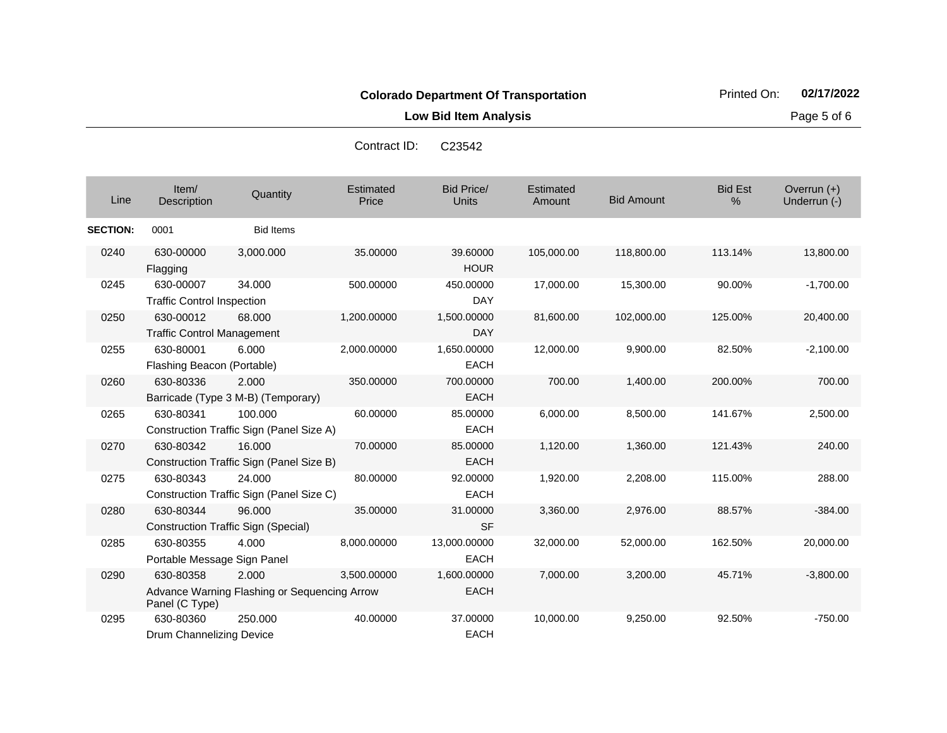**Low Bid Item Analysis Page 5 of 6** 

| Line            | Item/<br><b>Description</b>                    | Quantity                                              | Estimated<br>Price | <b>Bid Price/</b><br><b>Units</b> | Estimated<br>Amount | <b>Bid Amount</b> | <b>Bid Est</b><br>% | Overrun $(+)$<br>Underrun (-) |
|-----------------|------------------------------------------------|-------------------------------------------------------|--------------------|-----------------------------------|---------------------|-------------------|---------------------|-------------------------------|
| <b>SECTION:</b> | 0001                                           | <b>Bid Items</b>                                      |                    |                                   |                     |                   |                     |                               |
| 0240            | 630-00000<br>Flagging                          | 3,000.000                                             | 35.00000           | 39.60000<br><b>HOUR</b>           | 105,000.00          | 118,800.00        | 113.14%             | 13,800.00                     |
| 0245            | 630-00007<br><b>Traffic Control Inspection</b> | 34.000                                                | 500.00000          | 450.00000<br><b>DAY</b>           | 17,000.00           | 15,300.00         | 90.00%              | $-1,700.00$                   |
| 0250            | 630-00012<br><b>Traffic Control Management</b> | 68.000                                                | 1,200.00000        | 1,500.00000<br><b>DAY</b>         | 81,600.00           | 102,000.00        | 125.00%             | 20,400.00                     |
| 0255            | 630-80001<br>Flashing Beacon (Portable)        | 6.000                                                 | 2,000.00000        | 1,650.00000<br><b>EACH</b>        | 12,000.00           | 9,900.00          | 82.50%              | $-2,100.00$                   |
| 0260            | 630-80336                                      | 2.000<br>Barricade (Type 3 M-B) (Temporary)           | 350.00000          | 700.00000<br><b>EACH</b>          | 700.00              | 1,400.00          | 200.00%             | 700.00                        |
| 0265            | 630-80341                                      | 100.000<br>Construction Traffic Sign (Panel Size A)   | 60.00000           | 85.00000<br><b>EACH</b>           | 6,000.00            | 8,500.00          | 141.67%             | 2,500.00                      |
| 0270            | 630-80342                                      | 16.000<br>Construction Traffic Sign (Panel Size B)    | 70.00000           | 85.00000<br><b>EACH</b>           | 1,120.00            | 1,360.00          | 121.43%             | 240.00                        |
| 0275            | 630-80343                                      | 24.000<br>Construction Traffic Sign (Panel Size C)    | 80.00000           | 92.00000<br><b>EACH</b>           | 1,920.00            | 2,208.00          | 115.00%             | 288.00                        |
| 0280            | 630-80344                                      | 96.000<br><b>Construction Traffic Sign (Special)</b>  | 35.00000           | 31.00000<br><b>SF</b>             | 3,360.00            | 2,976.00          | 88.57%              | $-384.00$                     |
| 0285            | 630-80355<br>Portable Message Sign Panel       | 4.000                                                 | 8,000.00000        | 13,000.00000<br><b>EACH</b>       | 32,000.00           | 52,000.00         | 162.50%             | 20,000.00                     |
| 0290            | 630-80358<br>Panel (C Type)                    | 2.000<br>Advance Warning Flashing or Sequencing Arrow | 3,500.00000        | 1,600.00000<br><b>EACH</b>        | 7,000.00            | 3,200.00          | 45.71%              | $-3,800.00$                   |
| 0295            | 630-80360<br>Drum Channelizing Device          | 250,000                                               | 40.00000           | 37.00000<br><b>EACH</b>           | 10,000.00           | 9,250.00          | 92.50%              | $-750.00$                     |